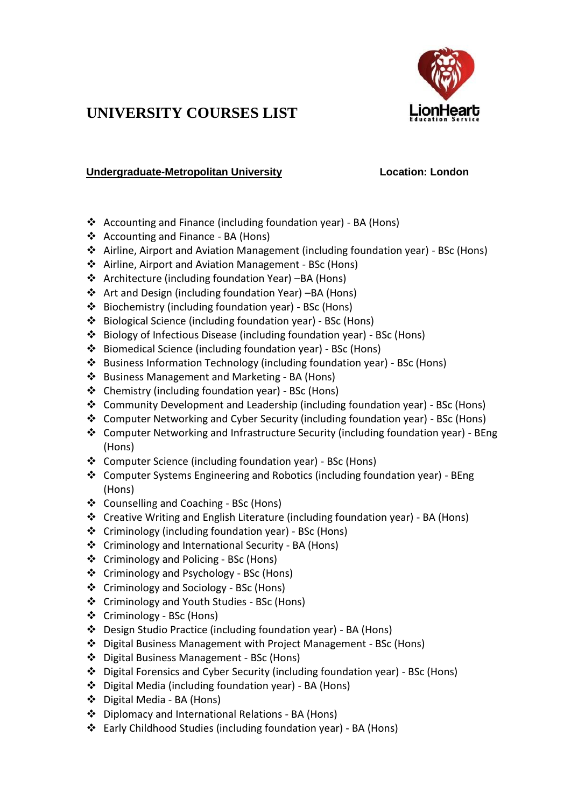

## **UNIVERSITY COURSES LIST**

## **Undergraduate-Metropolitan University Location: London**

- Accounting and Finance (including foundation year) BA (Hons)
- ❖ Accounting and Finance BA (Hons)
- Airline, Airport and Aviation Management (including foundation year) BSc (Hons)
- Airline, Airport and Aviation Management BSc (Hons)
- Architecture (including foundation Year) –BA (Hons)
- Art and Design (including foundation Year) –BA (Hons)
- Biochemistry (including foundation year) BSc (Hons)
- Biological Science (including foundation year) BSc (Hons)
- Biology of Infectious Disease (including foundation year) BSc (Hons)
- Biomedical Science (including foundation year) BSc (Hons)
- Business Information Technology (including foundation year) BSc (Hons)
- ❖ Business Management and Marketing BA (Hons)
- Chemistry (including foundation year) BSc (Hons)
- Community Development and Leadership (including foundation year) BSc (Hons)
- Computer Networking and Cyber Security (including foundation year) BSc (Hons)
- ◆ Computer Networking and Infrastructure Security (including foundation year) BEng (Hons)
- Computer Science (including foundation year) BSc (Hons)
- Computer Systems Engineering and Robotics (including foundation year) BEng (Hons)
- ❖ Counselling and Coaching BSc (Hons)
- Creative Writing and English Literature (including foundation year) BA (Hons)
- Criminology (including foundation year) BSc (Hons)
- ❖ Criminology and International Security BA (Hons)
- ❖ Criminology and Policing BSc (Hons)
- Criminology and Psychology BSc (Hons)
- Criminology and Sociology BSc (Hons)
- ❖ Criminology and Youth Studies BSc (Hons)
- Criminology BSc (Hons)
- Design Studio Practice (including foundation year) BA (Hons)
- Digital Business Management with Project Management BSc (Hons)
- Digital Business Management BSc (Hons)
- Digital Forensics and Cyber Security (including foundation year) BSc (Hons)
- Digital Media (including foundation year) BA (Hons)
- Digital Media BA (Hons)
- Diplomacy and International Relations BA (Hons)
- Early Childhood Studies (including foundation year) BA (Hons)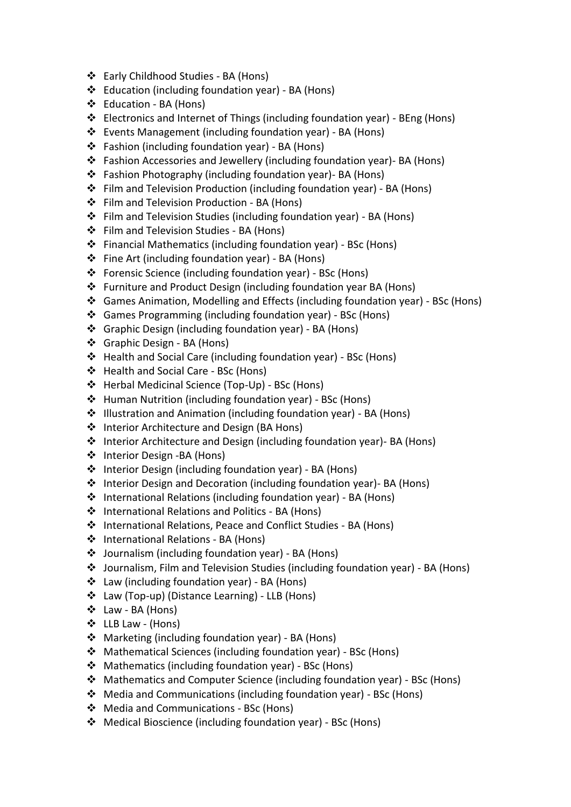- Early Childhood Studies BA (Hons)
- Education (including foundation year) BA (Hons)
- Education BA (Hons)
- Electronics and Internet of Things (including foundation year) BEng (Hons)
- Events Management (including foundation year) BA (Hons)
- Fashion (including foundation year) BA (Hons)
- Fashion Accessories and Jewellery (including foundation year)- BA (Hons)
- Fashion Photography (including foundation year)- BA (Hons)
- Film and Television Production (including foundation year) BA (Hons)
- ❖ Film and Television Production BA (Hons)
- Film and Television Studies (including foundation year) BA (Hons)
- Film and Television Studies BA (Hons)
- Financial Mathematics (including foundation year) BSc (Hons)
- Fine Art (including foundation year) BA (Hons)
- Forensic Science (including foundation year) BSc (Hons)
- Furniture and Product Design (including foundation year BA (Hons)
- Games Animation, Modelling and Effects (including foundation year) BSc (Hons)
- Games Programming (including foundation year) BSc (Hons)
- Graphic Design (including foundation year) BA (Hons)
- Graphic Design BA (Hons)
- Health and Social Care (including foundation year) BSc (Hons)
- ❖ Health and Social Care BSc (Hons)
- Herbal Medicinal Science (Top-Up) BSc (Hons)
- Human Nutrition (including foundation year) BSc (Hons)
- Illustration and Animation (including foundation year) BA (Hons)
- ❖ Interior Architecture and Design (BA Hons)
- Interior Architecture and Design (including foundation year)- BA (Hons)
- ❖ Interior Design -BA (Hons)
- Interior Design (including foundation year) BA (Hons)
- Interior Design and Decoration (including foundation year)- BA (Hons)
- International Relations (including foundation year) BA (Hons)
- ❖ International Relations and Politics BA (Hons)
- International Relations, Peace and Conflict Studies BA (Hons)
- ❖ International Relations BA (Hons)
- Journalism (including foundation year) BA (Hons)
- Journalism, Film and Television Studies (including foundation year) BA (Hons)
- Law (including foundation year) BA (Hons)
- Law (Top-up) (Distance Learning) LLB (Hons)
- Law BA (Hons)
- LLB Law (Hons)
- Marketing (including foundation year) BA (Hons)
- Mathematical Sciences (including foundation year) BSc (Hons)
- Mathematics (including foundation year) BSc (Hons)
- Mathematics and Computer Science (including foundation year) BSc (Hons)
- Media and Communications (including foundation year) BSc (Hons)
- ❖ Media and Communications BSc (Hons)
- Medical Bioscience (including foundation year) BSc (Hons)